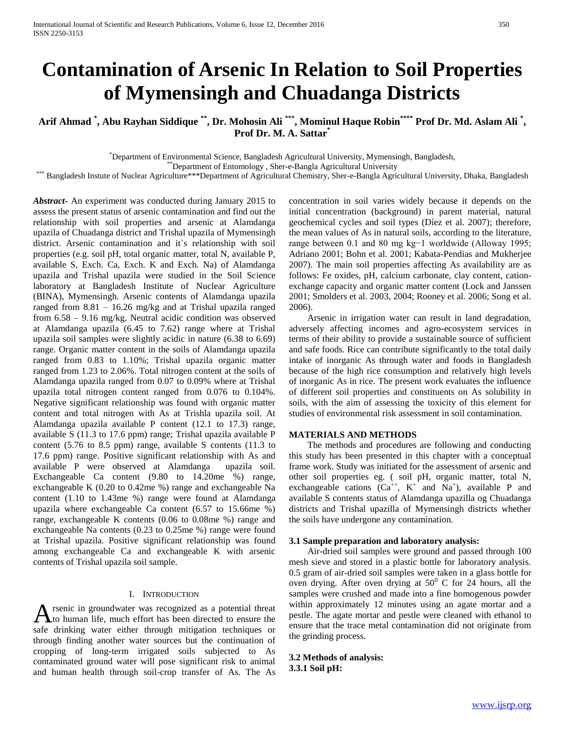# **Contamination of Arsenic In Relation to Soil Properties of Mymensingh and Chuadanga Districts**

**Arif Ahmad \* , Abu Rayhan Siddique \*\*, Dr. Mohosin Ali \*\*\* , Mominul Haque Robin\*\*\*\* Prof Dr. Md. Aslam Ali \* , Prof Dr. M. A. Sattar\***

\*Department of Environmental Science, Bangladesh Agricultural University, Mymensingh, Bangladesh,

\*\*Department of Entomology , Sher-e-Bangla Agricultural University

\*\*\* Bangladesh Instute of Nuclear Agriculture\*\*\*Department of Agricultural Chemistry, Sher-e-Bangla Agricultural University, Dhaka, Bangladesh

*Abstract***-** An experiment was conducted during January 2015 to assess the present status of arsenic contamination and find out the relationship with soil properties and arsenic at Alamdanga upazila of Chuadanga district and Trishal upazila of Mymensingh district. Arsenic contamination and it`s relationship with soil properties (e.g. soil pH, total organic matter, total N, available P, available S, Exch. Ca, Exch. K and Exch. Na) of Alamdanga upazila and Trishal upazila were studied in the Soil Science laboratory at Bangladesh Institute of Nuclear Agriculture (BINA), Mymensingh. Arsenic contents of Alamdanga upazila ranged from 8.81 – 16.26 mg/kg and at Trishal upazila ranged from 6.58 – 9.16 mg/kg. Neutral acidic condition was observed at Alamdanga upazila (6.45 to 7.62) range where at Trishal upazila soil samples were slightly acidic in nature (6.38 to 6.69) range. Organic matter content in the soils of Alamdanga upazila ranged from 0.83 to 1.10%; Trishal upazila organic matter ranged from 1.23 to 2.06%. Total nitrogen content at the soils of Alamdanga upazila ranged from 0.07 to 0.09% where at Trishal upazila total nitrogen content ranged from 0.076 to 0.104%. Negative significant relationship was found with organic matter content and total nitrogen with As at Trishla upazila soil. At Alamdanga upazila available P content (12.1 to 17.3) range, available S (11.3 to 17.6 ppm) range; Trishal upazila available P content (5.76 to 8.5 ppm) range, available S contents (11.3 to 17.6 ppm) range. Positive significant relationship with As and available P were observed at Alamdanga upazila soil. Exchangeable Ca content (9.80 to 14.20me %) range, exchangeable K (0.20 to 0.42me %) range and exchangeable Na content (1.10 to 1.43me %) range were found at Alamdanga upazila where exchangeable Ca content (6.57 to 15.66me %) range, exchangeable K contents (0.06 to 0.08me %) range and exchangeable Na contents (0.23 to 0.25me %) range were found at Trishal upazila. Positive significant relationship was found among exchangeable Ca and exchangeable K with arsenic contents of Trishal upazila soil sample.

### I. INTRODUCTION

rsenic in groundwater was recognized as a potential threat A rsenic in groundwater was recognized as a potential threat<br>to human life, much effort has been directed to ensure the safe drinking water either through mitigation techniques or through finding another water sources but the continuation of cropping of long-term irrigated soils subjected to As contaminated ground water will pose significant risk to animal and human health through soil-crop transfer of As. The As concentration in soil varies widely because it depends on the initial concentration (background) in parent material, natural geochemical cycles and soil types (Díez et al. 2007); therefore, the mean values of As in natural soils, according to the literature, range between 0.1 and 80 mg kg−1 worldwide (Alloway 1995; Adriano 2001; Bohn et al. 2001; Kabata-Pendias and Mukherjee 2007). The main soil properties affecting As availability are as follows: Fe oxides, pH, calcium carbonate, clay content, cationexchange capacity and organic matter content (Lock and Janssen 2001; Smolders et al. 2003, 2004; Rooney et al. 2006; Song et al. 2006).

 Arsenic in irrigation water can result in land degradation, adversely affecting incomes and agro-ecosystem services in terms of their ability to provide a sustainable source of sufficient and safe foods. Rice can contribute significantly to the total daily intake of inorganic As through water and foods in Bangladesh because of the high rice consumption and relatively high levels of inorganic As in rice. The present work evaluates the influence of different soil properties and constituents on As solubility in soils, with the aim of assessing the toxicity of this element for studies of environmental risk assessment in soil contamination.

#### **MATERIALS AND METHODS**

 The methods and procedures are following and conducting this study has been presented in this chapter with a conceptual frame work. Study was initiated for the assessment of arsenic and other soil properties eg. ( soil pH, organic matter, total N, exchangeable cations  $(Ca^{++}, K^+$  and  $Na^+$ ), available P and available S contents status of Alamdanga upazilla og Chuadanga districts and Trishal upazilla of Mymensingh districts whether the soils have undergone any contamination.

#### **3.1 Sample preparation and laboratory analysis:**

 Air-dried soil samples were ground and passed through 100 mesh sieve and stored in a plastic bottle for laboratory analysis. 0.5 gram of air-dried soil samples were taken in a glass bottle for oven drying. After oven drying at  $50^{\circ}$  C for 24 hours, all the samples were crushed and made into a fine homogenous powder within approximately 12 minutes using an agate mortar and a pestle. The agate mortar and pestle were cleaned with ethanol to ensure that the trace metal contamination did not originate from the grinding process.

**3.2 Methods of analysis: 3.3.1 Soil pH:**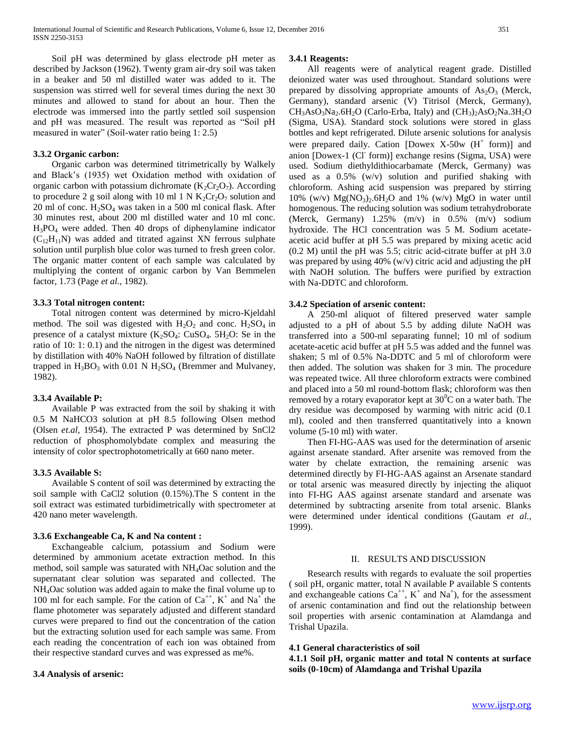Soil pH was determined by glass electrode pH meter as described by Jackson (1962). Twenty gram air-dry soil was taken in a beaker and 50 ml distilled water was added to it. The suspension was stirred well for several times during the next 30 minutes and allowed to stand for about an hour. Then the electrode was immersed into the partly settled soil suspension and pH was measured. The result was reported as "Soil pH measured in water" (Soil-water ratio being 1: 2.5)

#### **3.3.2 Organic carbon:**

 Organic carbon was determined titrimetrically by Walkely and Black's (1935) wet Oxidation method with oxidation of organic carbon with potassium dichromate  $(K_2Cr_2O_7)$ . According to procedure 2 g soil along with 10 ml 1 N  $K_2Cr_2O_7$  solution and 20 ml of conc.  $H_2SO_4$  was taken in a 500 ml conical flask. After 30 minutes rest, about 200 ml distilled water and 10 ml conc. H3PO<sup>4</sup> were added. Then 40 drops of diphenylamine indicator  $(C_{12}H_{11}N)$  was added and titrated against XN ferrous sulphate solution until purplish blue color was turned to fresh green color. The organic matter content of each sample was calculated by multiplying the content of organic carbon by Van Bemmelen factor, 1.73 (Page *et al.,* 1982).

#### **3.3.3 Total nitrogen content:**

 Total nitrogen content was determined by micro-Kjeldahl method. The soil was digested with  $H_2O_2$  and conc.  $H_2SO_4$  in presence of a catalyst mixture  $(K_2SO_4: CuSO_4. 5H_2O: Se$  in the ratio of 10: 1: 0.1) and the nitrogen in the digest was determined by distillation with 40% NaOH followed by filtration of distillate trapped in  $H_3BO_3$  with 0.01 N  $H_2SO_4$  (Bremmer and Mulvaney, 1982).

#### **3.3.4 Available P:**

 Available P was extracted from the soil by shaking it with 0.5 M NaHCO3 solution at pH 8.5 following Olsen method (Olsen *et.al,* 1954). The extracted P was determined by SnCl2 reduction of phosphomolybdate complex and measuring the intensity of color spectrophotometrically at 660 nano meter.

#### **3.3.5 Available S:**

 Available S content of soil was determined by extracting the soil sample with CaCl2 solution (0.15%).The S content in the soil extract was estimated turbidimetrically with spectrometer at 420 nano meter wavelength.

#### **3.3.6 Exchangeable Ca, K and Na content :**

 Exchangeable calcium, potassium and Sodium were determined by ammonium acetate extraction method. In this method, soil sample was saturated with NH4Oac solution and the supernatant clear solution was separated and collected. The NH4Oac solution was added again to make the final volume up to 100 ml for each sample. For the cation of  $Ca^{++}$ ,  $K^+$  and  $Na^+$  the flame photometer was separately adjusted and different standard curves were prepared to find out the concentration of the cation but the extracting solution used for each sample was same. From each reading the concentration of each ion was obtained from their respective standard curves and was expressed as me%.

#### **3.4 Analysis of arsenic:**

#### **3.4.1 Reagents:**

 All reagents were of analytical reagent grade. Distilled deionized water was used throughout. Standard solutions were prepared by dissolving appropriate amounts of  $As<sub>2</sub>O<sub>3</sub>$  (Merck, Germany), standard arsenic (V) Titrisol (Merck, Germany),  $CH<sub>3</sub>AsO<sub>3</sub>Na<sub>2</sub>.6H<sub>2</sub>O$  (Carlo-Erba, Italy) and (CH<sub>3</sub>)<sub>2</sub>AsO<sub>2</sub>Na.3H<sub>2</sub>O (Sigma, USA). Standard stock solutions were stored in glass bottles and kept refrigerated. Dilute arsenic solutions for analysis were prepared daily. Cation [Dowex  $X-50w$  ( $H^+$  form)] and anion [Dowex-1 (Cl form)] exchange resins (Sigma, USA) were used. Sodium diethyldithiocarbamate (Merck, Germany) was used as a 0.5% (w/v) solution and purified shaking with chloroform. Ashing acid suspension was prepared by stirring 10% (w/v)  $Mg(NO<sub>3</sub>)<sub>2</sub>$ .6H<sub>2</sub>O and 1% (w/v) MgO in water until homogenous. The reducing solution was sodium tetrahydroborate (Merck, Germany) 1.25% (m/v) in 0.5% (m/v) sodium hydroxide. The HCl concentration was 5 M. Sodium acetateacetic acid buffer at pH 5.5 was prepared by mixing acetic acid (0.2 M) until the pH was 5.5; citric acid-citrate buffer at pH 3.0 was prepared by using 40% (w/v) citric acid and adjusting the pH with NaOH solution. The buffers were purified by extraction with Na-DDTC and chloroform.

#### **3.4.2 Speciation of arsenic content:**

 A 250-ml aliquot of filtered preserved water sample adjusted to a pH of about 5.5 by adding dilute NaOH was transferred into a 500-ml separating funnel; 10 ml of sodium acetate-acetic acid buffer at pH 5.5 was added and the funnel was shaken; 5 ml of 0.5% Na-DDTC and 5 ml of chloroform were then added. The solution was shaken for 3 min. The procedure was repeated twice. All three chloroform extracts were combined and placed into a 50 ml round-bottom flask; chloroform was then removed by a rotary evaporator kept at  $30^0$ C on a water bath. The dry residue was decomposed by warming with nitric acid (0.1 ml), cooled and then transferred quantitatively into a known volume (5-10 ml) with water.

 Then FI-HG-AAS was used for the determination of arsenic against arsenate standard. After arsenite was removed from the water by chelate extraction, the remaining arsenic was determined directly by FI-HG-AAS against an Arsenate standard or total arsenic was measured directly by injecting the aliquot into FI-HG AAS against arsenate standard and arsenate was determined by subtracting arsenite from total arsenic. Blanks were determined under identical conditions (Gautam *et al.,* 1999).

# II. RESULTS AND DISCUSSION

 Research results with regards to evaluate the soil properties ( soil pH, organic matter, total N available P available S contents and exchangeable cations  $Ca^{++}$ ,  $K^+$  and  $Na^+$ ), for the assessment of arsenic contamination and find out the relationship between soil properties with arsenic contamination at Alamdanga and Trishal Upazila.

#### **4.1 General characteristics of soil**

**4.1.1 Soil pH, organic matter and total N contents at surface soils (0-10cm) of Alamdanga and Trishal Upazila**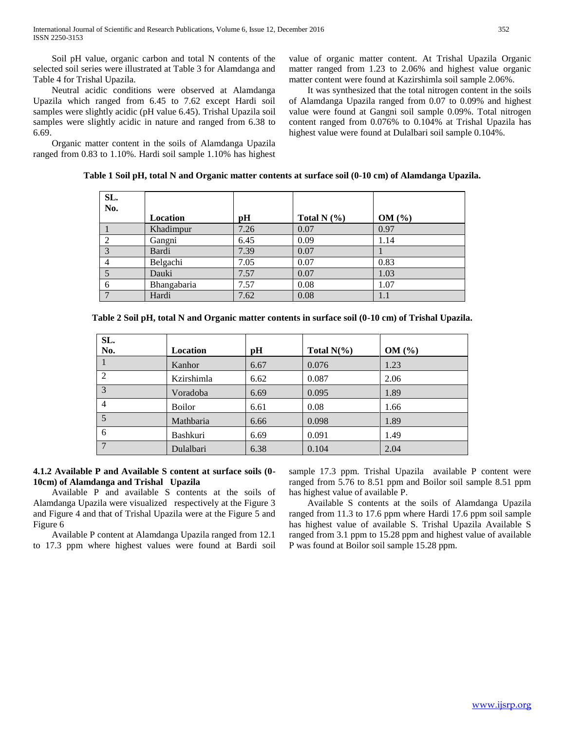Soil pH value, organic carbon and total N contents of the selected soil series were illustrated at Table 3 for Alamdanga and Table 4 for Trishal Upazila.

 Neutral acidic conditions were observed at Alamdanga Upazila which ranged from 6.45 to 7.62 except Hardi soil samples were slightly acidic (pH value 6.45). Trishal Upazila soil samples were slightly acidic in nature and ranged from 6.38 to 6.69.

 Organic matter content in the soils of Alamdanga Upazila ranged from 0.83 to 1.10%. Hardi soil sample 1.10% has highest value of organic matter content. At Trishal Upazila Organic matter ranged from 1.23 to 2.06% and highest value organic matter content were found at Kazirshimla soil sample 2.06%.

 It was synthesized that the total nitrogen content in the soils of Alamdanga Upazila ranged from 0.07 to 0.09% and highest value were found at Gangni soil sample 0.09%. Total nitrogen content ranged from 0.076% to 0.104% at Trishal Upazila has highest value were found at Dulalbari soil sample 0.104%.

| SL.<br>No. |             |      |                 |       |
|------------|-------------|------|-----------------|-------|
|            | Location    | pН   | Total N $(\% )$ | OM(%) |
|            | Khadimpur   | 7.26 | 0.07            | 0.97  |
|            | Gangni      | 6.45 | 0.09            | 1.14  |
| 3          | Bardi       | 7.39 | 0.07            |       |
| 4          | Belgachi    | 7.05 | 0.07            | 0.83  |
|            | Dauki       | 7.57 | 0.07            | 1.03  |
| 6          | Bhangabaria | 7.57 | 0.08            | 1.07  |
|            | Hardi       | 7.62 | 0.08            | 1.1   |

**Table 1 Soil pH, total N and Organic matter contents at surface soil (0-10 cm) of Alamdanga Upazila.**

| Table 2 Soil pH, total N and Organic matter contents in surface soil (0-10 cm) of Trishal Upazila. |  |  |  |
|----------------------------------------------------------------------------------------------------|--|--|--|
|                                                                                                    |  |  |  |

| SL.            |                 |      |               |       |
|----------------|-----------------|------|---------------|-------|
| No.            | Location        | pH   | Total $N(\%)$ | OM(%) |
|                | Kanhor          | 6.67 | 0.076         | 1.23  |
| 2              | Kzirshimla      | 6.62 | 0.087         | 2.06  |
| 3              | Voradoba        | 6.69 | 0.095         | 1.89  |
| $\overline{4}$ | <b>Boilor</b>   | 6.61 | 0.08          | 1.66  |
| 5              | Mathbaria       | 6.66 | 0.098         | 1.89  |
| 6              | <b>Bashkuri</b> | 6.69 | 0.091         | 1.49  |
| 7              | Dulalbari       | 6.38 | 0.104         | 2.04  |

# **4.1.2 Available P and Available S content at surface soils (0- 10cm) of Alamdanga and Trishal Upazila**

 Available P and available S contents at the soils of Alamdanga Upazila were visualized respectively at the Figure 3 and Figure 4 and that of Trishal Upazila were at the Figure 5 and Figure 6

 Available P content at Alamdanga Upazila ranged from 12.1 to 17.3 ppm where highest values were found at Bardi soil sample 17.3 ppm. Trishal Upazila available P content were ranged from 5.76 to 8.51 ppm and Boilor soil sample 8.51 ppm has highest value of available P.

 Available S contents at the soils of Alamdanga Upazila ranged from 11.3 to 17.6 ppm where Hardi 17.6 ppm soil sample has highest value of available S. Trishal Upazila Available S ranged from 3.1 ppm to 15.28 ppm and highest value of available P was found at Boilor soil sample 15.28 ppm.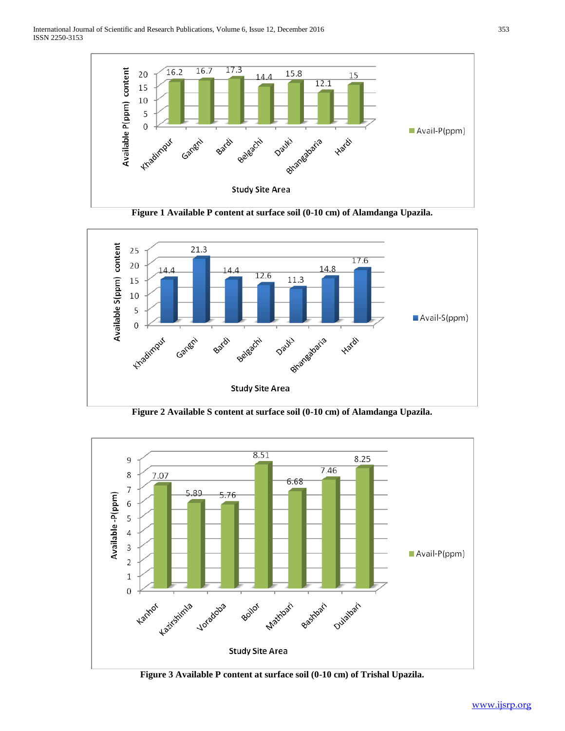

**Figure 1 Available P content at surface soil (0-10 cm) of Alamdanga Upazila.**



**Figure 2 Available S content at surface soil (0-10 cm) of Alamdanga Upazila.**



**Figure 3 Available P content at surface soil (0-10 cm) of Trishal Upazila.**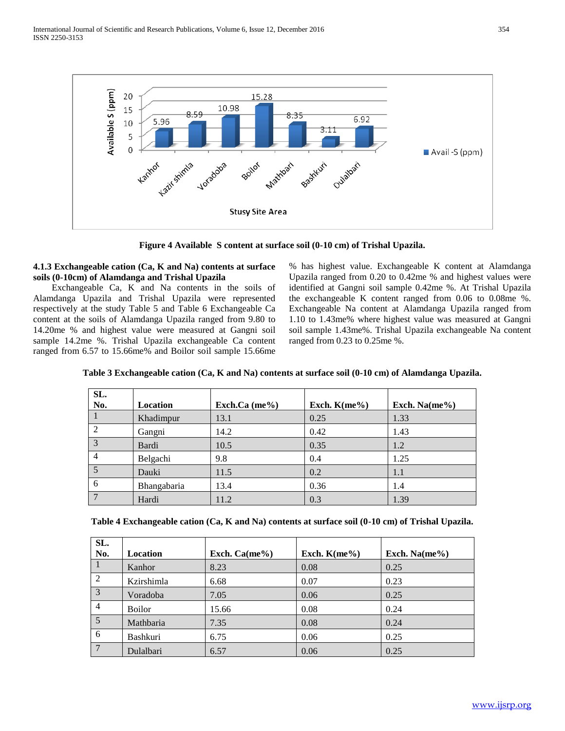

**Figure 4 Available S content at surface soil (0-10 cm) of Trishal Upazila.**

# **4.1.3 Exchangeable cation (Ca, K and Na) contents at surface soils (0-10cm) of Alamdanga and Trishal Upazila**

 Exchangeable Ca, K and Na contents in the soils of Alamdanga Upazila and Trishal Upazila were represented respectively at the study Table 5 and Table 6 Exchangeable Ca content at the soils of Alamdanga Upazila ranged from 9.80 to 14.20me % and highest value were measured at Gangni soil sample 14.2me %. Trishal Upazila exchangeable Ca content ranged from 6.57 to 15.66me% and Boilor soil sample 15.66me % has highest value. Exchangeable K content at Alamdanga Upazila ranged from 0.20 to 0.42me % and highest values were identified at Gangni soil sample 0.42me %. At Trishal Upazila the exchangeable K content ranged from 0.06 to 0.08me %. Exchangeable Na content at Alamdanga Upazila ranged from 1.10 to 1.43me% where highest value was measured at Gangni soil sample 1.43me%. Trishal Upazila exchangeable Na content ranged from 0.23 to 0.25me %.

| SL.<br>No.     | Location    | Exch.Ca $(me\%)$ | Exch. $K$ (me%) | Exch. Na $(me\%)$ |
|----------------|-------------|------------------|-----------------|-------------------|
|                | Khadimpur   | 13.1             | 0.25            | 1.33              |
| $\mathfrak{D}$ | Gangni      | 14.2             | 0.42            | 1.43              |
| 3              | Bardi       | 10.5             | 0.35            | 1.2               |
| 4              | Belgachi    | 9.8              | 0.4             | 1.25              |
| $\overline{5}$ | Dauki       | 11.5             | 0.2             | 1.1               |
| 6              | Bhangabaria | 13.4             | 0.36            | 1.4               |
|                | Hardi       | 11.2             | 0.3             | 1.39              |

**Table 3 Exchangeable cation (Ca, K and Na) contents at surface soil (0-10 cm) of Alamdanga Upazila.**

**Table 4 Exchangeable cation (Ca, K and Na) contents at surface soil (0-10 cm) of Trishal Upazila.**

| SL.            |               |                  |                 |                   |
|----------------|---------------|------------------|-----------------|-------------------|
| No.            | Location      | Exch. $Ca(me\%)$ | Exch. $K$ (me%) | Exch. Na $(me\%)$ |
|                | Kanhor        | 8.23             | 0.08            | 0.25              |
| 2              | Kzirshimla    | 6.68             | 0.07            | 0.23              |
| 3              | Voradoba      | 7.05             | 0.06            | 0.25              |
| $\overline{4}$ | <b>Boilor</b> | 15.66            | 0.08            | 0.24              |
| 5 <sup>5</sup> | Mathbaria     | 7.35             | 0.08            | 0.24              |
| 6              | Bashkuri      | 6.75             | 0.06            | 0.25              |
|                | Dulalbari     | 6.57             | 0.06            | 0.25              |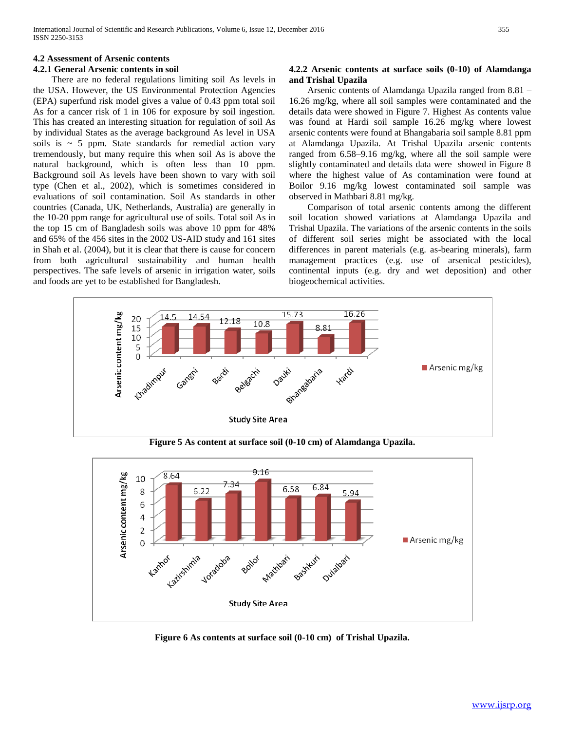# **4.2 Assessment of Arsenic contents**

# **4.2.1 General Arsenic contents in soil**

 There are no federal regulations limiting soil As levels in the USA. However, the US Environmental Protection Agencies (EPA) superfund risk model gives a value of 0.43 ppm total soil As for a cancer risk of 1 in 106 for exposure by soil ingestion. This has created an interesting situation for regulation of soil As by individual States as the average background As level in USA soils is  $\sim$  5 ppm. State standards for remedial action vary tremendously, but many require this when soil As is above the natural background, which is often less than 10 ppm. Background soil As levels have been shown to vary with soil type (Chen et al., 2002), which is sometimes considered in evaluations of soil contamination. Soil As standards in other countries (Canada, UK, Netherlands, Australia) are generally in the 10-20 ppm range for agricultural use of soils. Total soil As in the top 15 cm of Bangladesh soils was above 10 ppm for 48% and 65% of the 456 sites in the 2002 US-AID study and 161 sites in Shah et al. (2004), but it is clear that there is cause for concern from both agricultural sustainability and human health perspectives. The safe levels of arsenic in irrigation water, soils and foods are yet to be established for Bangladesh.

# **4.2.2 Arsenic contents at surface soils (0-10) of Alamdanga and Trishal Upazila**

 Arsenic contents of Alamdanga Upazila ranged from 8.81 – 16.26 mg/kg, where all soil samples were contaminated and the details data were showed in Figure 7. Highest As contents value was found at Hardi soil sample 16.26 mg/kg where lowest arsenic contents were found at Bhangabaria soil sample 8.81 ppm at Alamdanga Upazila. At Trishal Upazila arsenic contents ranged from 6.58–9.16 mg/kg, where all the soil sample were slightly contaminated and details data were showed in Figure 8 where the highest value of As contamination were found at Boilor 9.16 mg/kg lowest contaminated soil sample was observed in Mathbari 8.81 mg/kg.

 Comparison of total arsenic contents among the different soil location showed variations at Alamdanga Upazila and Trishal Upazila. The variations of the arsenic contents in the soils of different soil series might be associated with the local differences in parent materials (e.g. as-bearing minerals), farm management practices (e.g. use of arsenical pesticides), continental inputs (e.g. dry and wet deposition) and other biogeochemical activities.



**Figure 5 As content at surface soil (0-10 cm) of Alamdanga Upazila.**



**Figure 6 As contents at surface soil (0-10 cm) of Trishal Upazila.**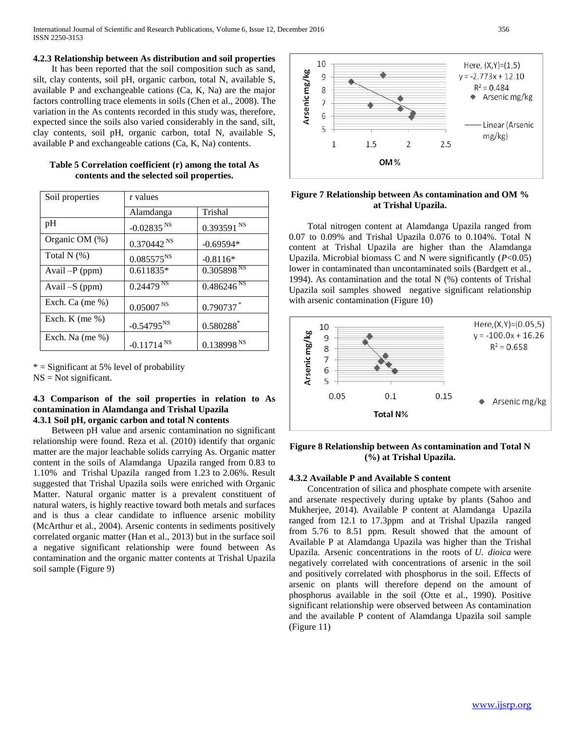#### **4.2.3 Relationship between As distribution and soil properties**

 It has been reported that the soil composition such as sand, silt, clay contents, soil pH, organic carbon, total N, available S, available P and exchangeable cations (Ca, K, Na) are the major factors controlling trace elements in soils (Chen et al., 2008). The variation in the As contents recorded in this study was, therefore, expected since the soils also varied considerably in the sand, silt, clay contents, soil pH, organic carbon, total N, available S, available P and exchangeable cations (Ca, K, Na) contents.

| Soil properties     | r values                 |                                   |
|---------------------|--------------------------|-----------------------------------|
|                     | Alamdanga                | Trishal                           |
| pH                  | $-0.02835$ <sup>NS</sup> | $0.393591^{NS}$                   |
| Organic OM (%)      | 0.370442 <sup>NS</sup>   | $-0.69594*$                       |
| Total $N$ $(\%)$    | $0.085575^{NS}$          | $-0.8116*$                        |
| Avail $-P$ (ppm)    | 0.611835*                | 0.305898 <sup>NS</sup>            |
| Avail -S (ppm)      | $0.24479^{NS}$           | $0.486\overline{246}^{\text{NS}}$ |
| Exch. Ca (me $\%$ ) | 0.05007 <sup>NS</sup>    | 0.790737                          |
| Exch. K (me $%$ )   | $-0.54795^{NS}$          | $0.580288$ <sup>*</sup>           |
| Exch. Na (me $\%$ ) | $-0.11714$ <sup>NS</sup> | 0.138998 <sup>NS</sup>            |

| Table 5 Correlation coefficient (r) among the total As |  |
|--------------------------------------------------------|--|
| contents and the selected soil properties.             |  |

 $*$  = Significant at 5% level of probability  $NS = Not$  significant.

# **4.3 Comparison of the soil properties in relation to As contamination in Alamdanga and Trishal Upazila 4.3.1 Soil pH, organic carbon and total N contents**

 Between pH value and arsenic contamination no significant relationship were found. Reza et al. (2010) identify that organic matter are the major leachable solids carrying As. Organic matter content in the soils of Alamdanga Upazila ranged from 0.83 to 1.10% and Trishal Upazila ranged from 1.23 to 2.06%. Result suggested that Trishal Upazila soils were enriched with Organic Matter. Natural organic matter is a prevalent constituent of natural waters, is highly reactive toward both metals and surfaces and is thus a clear candidate to influence arsenic mobility (McArthur et al., 2004). Arsenic contents in sediments positively correlated organic matter (Han et al., 2013) but in the surface soil a negative significant relationship were found between As contamination and the organic matter contents at Trishal Upazila soil sample (Figure 9)



# **Figure 7 Relationship between As contamination and OM % at Trishal Upazila.**

 Total nitrogen content at Alamdanga Upazila ranged from 0.07 to 0.09% and Trishal Upazila 0.076 to 0.104%. Total N content at Trishal Upazila are higher than the Alamdanga Upazila. Microbial biomass C and N were significantly (*P*<0.05) lower in contaminated than uncontaminated soils (Bardgett et al., 1994). As contamination and the total N (%) contents of Trishal Upazila soil samples showed negative significant relationship with arsenic contamination (Figure 10)



# **Figure 8 Relationship between As contamination and Total N (%) at Trishal Upazila.**

# **4.3.2 Available P and Available S content**

 Concentration of silica and phosphate compete with arsenite and arsenate respectively during uptake by plants (Sahoo and Mukherjee, 2014). Available P content at Alamdanga Upazila ranged from 12.1 to 17.3ppm and at Trishal Upazila ranged from 5.76 to 8.51 ppm. Result showed that the amount of Available P at Alamdanga Upazila was higher than the Trishal Upazila. Arsenic concentrations in the roots of *U. dioica* were negatively correlated with concentrations of arsenic in the soil and positively correlated with phosphorus in the soil. Effects of arsenic on plants will therefore depend on the amount of phosphorus available in the soil (Otte et al., 1990). Positive significant relationship were observed between As contamination and the available P content of Alamdanga Upazila soil sample (Figure 11)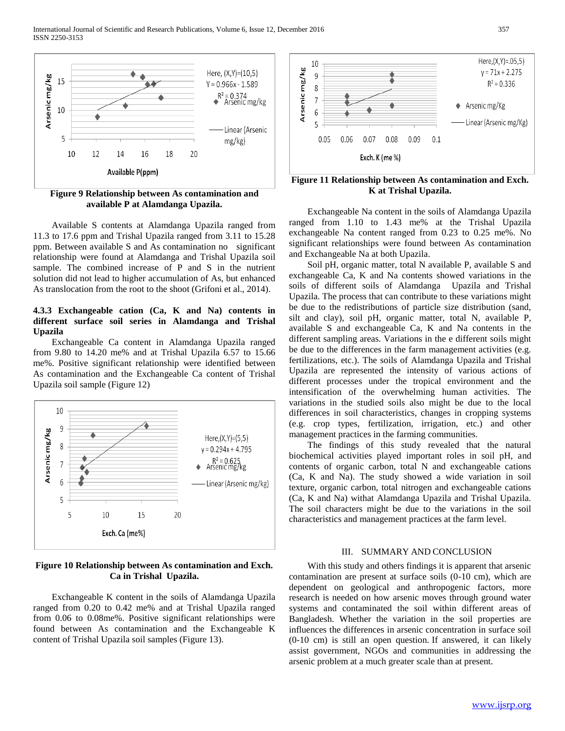

**Figure 9 Relationship between As contamination and available P at Alamdanga Upazila.**

 Available S contents at Alamdanga Upazila ranged from 11.3 to 17.6 ppm and Trishal Upazila ranged from 3.11 to 15.28 ppm. Between available S and As contamination no significant relationship were found at Alamdanga and Trishal Upazila soil sample. The combined increase of P and S in the nutrient solution did not lead to higher accumulation of As, but enhanced As translocation from the root to the shoot (Grifoni et al., 2014).

# **4.3.3 Exchangeable cation (Ca, K and Na) contents in different surface soil series in Alamdanga and Trishal Upazila**

 Exchangeable Ca content in Alamdanga Upazila ranged from 9.80 to 14.20 me% and at Trishal Upazila 6.57 to 15.66 me%. Positive significant relationship were identified between As contamination and the Exchangeable Ca content of Trishal Upazila soil sample (Figure 12)



# **Figure 10 Relationship between As contamination and Exch. Ca in Trishal Upazila.**

 Exchangeable K content in the soils of Alamdanga Upazila ranged from 0.20 to 0.42 me% and at Trishal Upazila ranged from 0.06 to 0.08me%. Positive significant relationships were found between As contamination and the Exchangeable K content of Trishal Upazila soil samples (Figure 13).



**Figure 11 Relationship between As contamination and Exch. K at Trishal Upazila.**

 Exchangeable Na content in the soils of Alamdanga Upazila ranged from 1.10 to 1.43 me% at the Trishal Upazila exchangeable Na content ranged from 0.23 to 0.25 me%. No significant relationships were found between As contamination and Exchangeable Na at both Upazila.

 Soil pH, organic matter, total N available P, available S and exchangeable Ca, K and Na contents showed variations in the soils of different soils of Alamdanga Upazila and Trishal Upazila. The process that can contribute to these variations might be due to the redistributions of particle size distribution (sand, silt and clay), soil pH, organic matter, total N, available P, available S and exchangeable Ca, K and Na contents in the different sampling areas. Variations in the e different soils might be due to the differences in the farm management activities (e.g. fertilizations, etc.). The soils of Alamdanga Upazila and Trishal Upazila are represented the intensity of various actions of different processes under the tropical environment and the intensification of the overwhelming human activities. The variations in the studied soils also might be due to the local differences in soil characteristics, changes in cropping systems (e.g. crop types, fertilization, irrigation, etc.) and other management practices in the farming communities.

 The findings of this study revealed that the natural biochemical activities played important roles in soil pH, and contents of organic carbon, total N and exchangeable cations (Ca, K and Na). The study showed a wide variation in soil texture, organic carbon, total nitrogen and exchangeable cations (Ca, K and Na) withat Alamdanga Upazila and Trishal Upazila. The soil characters might be due to the variations in the soil characteristics and management practices at the farm level.

#### III. SUMMARY AND CONCLUSION

 With this study and others findings it is apparent that arsenic contamination are present at surface soils (0-10 cm), which are dependent on geological and anthropogenic factors, more research is needed on how arsenic moves through ground water systems and contaminated the soil within different areas of Bangladesh. Whether the variation in the soil properties are influences the differences in arsenic concentration in surface soil (0-10 cm) is still an open question. If answered, it can likely assist government, NGOs and communities in addressing the arsenic problem at a much greater scale than at present.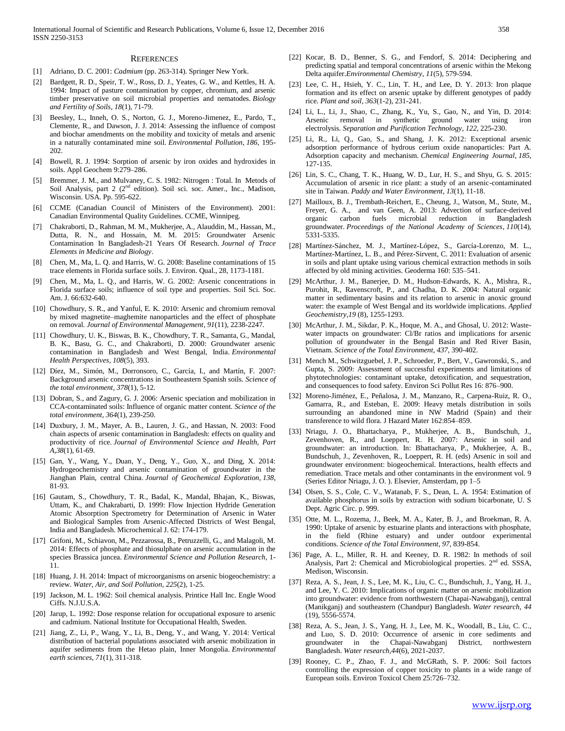#### **REFERENCES**

- [1] Adriano, D. C. 2001: *Cadmium* (pp. 263-314). Springer New York.
- [2] Bardgett, R. D., Speir, T. W., Ross, D. J., Yeates, G. W., and Kettles, H. A. 1994: Impact of pasture contamination by copper, chromium, and arsenic timber preservative on soil microbial properties and nematodes. *Biology and Fertility of Soils*, *18*(1), 71-79.
- [3] Beesley, L., Inneh, O. S., Norton, G. J., Moreno-Jimenez, E., Pardo, T., Clemente, R., and Dawson, J. J. 2014: Assessing the influence of compost and biochar amendments on the mobility and toxicity of metals and arsenic in a naturally contaminated mine soil. *Environmental Pollution*, *186*, 195- 202.
- [4] Bowell, R. J. 1994: Sorption of arsenic by iron oxides and hydroxides in soils. Appl Geochem 9:279–286.
- [5] Bremmer, J. M., and Mulvaney, C. S. 1982: Nitrogen : Total. In Metods of Soil Analysis, part 2 (2<sup>nd</sup> edition). Soil sci. soc. Amer., Inc., Madison, Wisconsin. USA. Pp. 595-622.
- [6] CCME (Canadian Council of Ministers of the Environment). 2001: Canadian Environmental Quality Guidelines. CCME, Winnipeg.
- [7] Chakraborti, D., Rahman, M. M., Mukherjee, A., Alauddin, M., Hassan, M., Dutta, R. N., and Hossain, M. M. 2015: Groundwater Arsenic Contamination In Bangladesh-21 Years Of Research. *Journal of Trace Elements in Medicine and Biology*.
- [8] Chen, M., Ma, L. Q. and Harris, W. G. 2008: Baseline contaminations of 15 trace elements in Florida surface soils. J. Environ. Qual., 28, 1173-1181.
- [9] Chen, M., Ma, L. Q., and Harris, W. G. 2002: Arsenic concentrations in Florida surface soils; influence of soil type and properties. Soil Sci. Soc. Am. J. 66:632-640.
- [10] Chowdhury, S. R., and Yanful, E. K. 2010: Arsenic and chromium removal by mixed magnetite–maghemite nanoparticles and the effect of phosphate on removal. *Journal of Environmental Management*, *91*(11), 2238-2247.
- [11] Chowdhury, U. K., Biswas, B. K., Chowdhury, T. R., Samanta, G., Mandal, B. K., Basu, G. C., and Chakraborti, D. 2000: Groundwater arsenic contamination in Bangladesh and West Bengal, India. *Environmental Health Perspectives*, *108*(5), 393.
- [12] Díez, M., Simón, M., Dorronsoro, C., García, I., and Martín, F. 2007: Background arsenic concentrations in Southeastern Spanish soils. *Science of the total environment*, *378*(1), 5-12.
- [13] Dobran, S., and Zagury, G. J. 2006: Arsenic speciation and mobilization in CCA-contaminated soils: Influence of organic matter content. *Science of the total environment*, *364*(1), 239-250.
- [14] Duxbury, J. M., Mayer, A. B., Lauren, J. G., and Hassan, N. 2003: Food chain aspects of arsenic contamination in Bangladesh: effects on quality and productivity of rice. *Journal of Environmental Science and Health, Part A*,*38*(1), 61-69.
- [15] Gan, Y., Wang, Y., Duan, Y., Deng, Y., Guo, X., and Ding, X. 2014: Hydrogeochemistry and arsenic contamination of groundwater in the Jianghan Plain, central China. *Journal of Geochemical Exploration*, *138*, 81-93.
- [16] Gautam, S., Chowdhury, T. R., Badal, K., Mandal, Bhajan, K., Biswas, Uttam, K., and Chakrabarti, D. 1999: Flow Injection Hydride Generation Atomic Absorption Spectrometry for Determination of Arsenic in Water and Biological Samples from Arsenic-Affected Districts of West Bengal, India and Bangladesh. Microchemical J. 62: 174-179.
- [17] Grifoni, M., Schiavon, M., Pezzarossa, B., Petruzzelli, G., and Malagoli, M. 2014: Effects of phosphate and thiosulphate on arsenic accumulation in the species Brassica juncea. *Environmental Science and Pollution Research*, 1- 11.
- [18] Huang, J. H. 2014: Impact of microorganisms on arsenic biogeochemistry: a review. *Water, Air, and Soil Pollution*, *225*(2), 1-25.
- [19] Jackson, M. L. 1962: Soil chemical analysis. Printice Hall Inc. Engle Wood Ciffs. N.J.U.S.A.
- [20] Jarup, L. 1992: Dose response relation for occupational exposure to arsenic and cadmium. National Institute for Occupational Health, Sweden.
- [21] Jiang, Z., Li, P., Wang, Y., Li, B., Deng, Y., and Wang, Y. 2014: Vertical distribution of bacterial populations associated with arsenic mobilization in aquifer sediments from the Hetao plain, Inner Mongolia. *Environmental earth sciences*, *71*(1), 311-318.
- [22] Kocar, B. D., Benner, S. G., and Fendorf, S. 2014: Deciphering and predicting spatial and temporal concentrations of arsenic within the Mekong Delta aquifer.*Environmental Chemistry*, *11*(5), 579-594.
- [23] Lee, C. H., Hsieh, Y. C., Lin, T. H., and Lee, D. Y. 2013: Iron plaque formation and its effect on arsenic uptake by different genotypes of paddy rice. *Plant and soil*, *363*(1-2), 231-241.
- [24] Li, L., Li, J., Shao, C., Zhang, K., Yu, S., Gao, N., and Yin, D. 2014: Arsenic removal in synthetic ground water using iron electrolysis. *Separation and Purification Technology*, *122*, 225-230.
- [25] Li, R., Li, Q., Gao, S., and Shang, J. K. 2012: Exceptional arsenic adsorption performance of hydrous cerium oxide nanoparticles: Part A. Adsorption capacity and mechanism. *Chemical Engineering Journal*, *185*, 127-135.
- [26] Lin, S. C., Chang, T. K., Huang, W. D., Lur, H. S., and Shyu, G. S. 2015: Accumulation of arsenic in rice plant: a study of an arsenic-contaminated site in Taiwan. *Paddy and Water Environment*, *13*(1), 11-18.
- [27] Mailloux, B. J., Trembath-Reichert, E., Cheung, J., Watson, M., Stute, M., Freyer, G. A., and van Geen, A. 2013: Advection of surface-derived organic carbon fuels microbial reduction in Bangladesh groundwater. *Proceedings of the National Academy of Sciences*, *110*(14), 5331-5335.
- [28] Martínez-Sánchez, M. J., Martínez-López, S., García-Lorenzo, M. L., Martínez-Martínez, L. B., and Pérez-Sirvent, C. 2011: Evaluation of arsenic in soils and plant uptake using various chemical extraction methods in soils affected by old mining activities. Geoderma 160: 535–541.
- [29] McArthur, J. M., Banerjee, D. M., Hudson-Edwards, K. A., Mishra, R., Purohit, R., Ravenscroft, P., and Chadha, D. K. 2004: Natural organic matter in sedimentary basins and its relation to arsenic in anoxic ground water: the example of West Bengal and its worldwide implications. *Applied Geochemistry*,*19* (8), 1255-1293.
- [30] McArthur, J. M., Sikdar, P. K., Hoque, M. A., and Ghosal, U. 2012: Wastewater impacts on groundwater: Cl/Br ratios and implications for arsenic pollution of groundwater in the Bengal Basin and Red River Basin, Vietnam. *Science of the Total Environment*, *437*, 390-402.
- [31] Mench M., Schwitzguebel, J. P., Schroeder, P., Bert, V., Gawronski, S., and Gupta, S. 2009: Assessment of successful experiments and limitations of phytotechnologies: contaminant uptake, detoxification, and sequestration, and consequences to food safety. Environ Sci Pollut Res 16: 876–900.
- [32] Moreno-Jiménez, E., Peñalosa, J. M., Manzano, R., Carpena-Ruiz, R. O., Gamarra, R., and Esteban, E. 2009: Heavy metals distribution in soils surrounding an abandoned mine in NW Madrid (Spain) and their transference to wild flora. J Hazard Mater 162:854–859.
- [33] Nriagu, J. O., Bhattacharya, P., Mukherjee, A. B., Bundschuh, J., Zevenhoven, R., and Loeppert, R. H. 2007: Arsenic in soil and groundwater: an introduction. In: Bhattacharya, P., Mukherjee, A. B., Bundschuh, J., Zevenhoven, R., Loeppert, R. H. (eds) Arsenic in soil and groundwater environment: biogeochemical. Interactions, health effects and remediation. Trace metals and other contaminants in the environment vol. 9 (Series Editor Nriagu, J. O. ). Elsevier, Amsterdam, pp 1–5
- [34] Olsen, S. S., Cole, C. V., Watanab, F. S., Dean, L. A. 1954: Estimation of available phosphorus in soils by extraction with sodium bicarbonate, U. S Dept. Agric Circ. p. 999.
- [35] Otte, M. L., Rozema, J., Beek, M. A., Kater, B. J., and Broekman, R. A. 1990: Uptake of arsenic by estuarine plants and interactions with phosphate, in the field (Rhine estuary) and under outdoor experimental conditions. *Science of the Total Environment*, *97*, 839-854.
- [36] Page, A. L., Miller, R. H. and Keeney, D. R. 1982: In methods of soil Analysis, Part 2: Chemical and Microbiological properties. 2<sup>nd</sup> ed. SSSA, Medison, Wisconsin.
- [37] Reza, A. S., Jean, J. S., Lee, M. K., Liu, C. C., Bundschuh, J., Yang, H. J., and Lee, Y. C. 2010: Implications of organic matter on arsenic mobilization into groundwater: evidence from northwestern (Chapai-Nawabganj), central (Manikganj) and southeastern (Chandpur) Bangladesh. *Water research*, *44*  (19), 5556-5574.
- [38] Reza, A. S., Jean, J. S., Yang, H. J., Lee, M. K., Woodall, B., Liu, C. C., and Luo, S. D. 2010: Occurrence of arsenic in core sediments and groundwater in the Chapai-Nawabganj District, northwestern Bangladesh. *Water research*,*44*(6), 2021-2037.
- [39] Rooney, C. P., Zhao, F. J., and McGRath, S. P. 2006: Soil factors controlling the expression of copper toxicity to plants in a wide range of European soils. Environ Toxicol Chem 25:726–732.